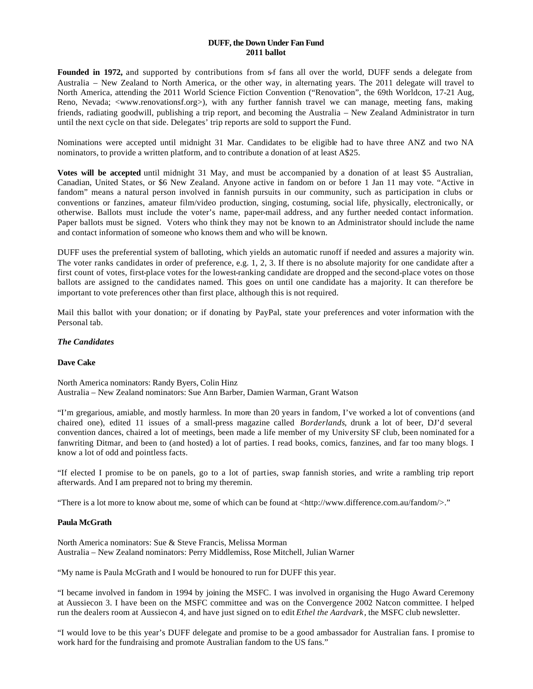## **DUFF, the Down Under Fan Fund 2011 ballot**

Founded in 1972, and supported by contributions from s-f fans all over the world, DUFF sends a delegate from Australia – New Zealand to North America, or the other way, in alternating years. The 2011 delegate will travel to North America, attending the 2011 World Science Fiction Convention ("Renovation", the 69th Worldcon, 17-21 Aug, Reno, Nevada; <www.renovationsf.org>), with any further fannish travel we can manage, meeting fans, making friends, radiating goodwill, publishing a trip report, and becoming the Australia – New Zealand Administrator in turn until the next cycle on that side. Delegates' trip reports are sold to support the Fund.

Nominations were accepted until midnight 31 Mar. Candidates to be eligible had to have three ANZ and two NA nominators, to provide a written platform, and to contribute a donation of at least A\$25.

**Votes will be accepted** until midnight 31 May, and must be accompanied by a donation of at least \$5 Australian, Canadian, United States, or \$6 New Zealand. Anyone active in fandom on or before 1 Jan 11 may vote. "Active in fandom" means a natural person involved in fannish pursuits in our community, such as participation in clubs or conventions or fanzines, amateur film/video production, singing, costuming, social life, physically, electronically, or otherwise. Ballots must include the voter's name, paper-mail address, and any further needed contact information. Paper ballots must be signed. Voters who think they may not be known to an Administrator should include the name and contact information of someone who knows them and who will be known.

DUFF uses the preferential system of balloting, which yields an automatic runoff if needed and assures a majority win. The voter ranks candidates in order of preference, e.g. 1, 2, 3. If there is no absolute majority for one candidate after a first count of votes, first-place votes for the lowest-ranking candidate are dropped and the second-place votes on those ballots are assigned to the candidates named. This goes on until one candidate has a majority. It can therefore be important to vote preferences other than first place, although this is not required.

Mail this ballot with your donation; or if donating by PayPal, state your preferences and voter information with the Personal tab.

# *The Candidates*

### **Dave Cake**

North America nominators: Randy Byers, Colin Hinz Australia – New Zealand nominators: Sue Ann Barber, Damien Warman, Grant Watson

"I'm gregarious, amiable, and mostly harmless. In more than 20 years in fandom, I've worked a lot of conventions (and chaired one), edited 11 issues of a small-press magazine called *Borderlands*, drunk a lot of beer, DJ'd several convention dances, chaired a lot of meetings, been made a life member of my University SF club, been nominated for a fanwriting Ditmar, and been to (and hosted) a lot of parties. I read books, comics, fanzines, and far too many blogs. I know a lot of odd and pointless facts.

"If elected I promise to be on panels, go to a lot of parties, swap fannish stories, and write a rambling trip report afterwards. And I am prepared not to bring my theremin.

"There is a lot more to know about me, some of which can be found at <http://www.difference.com.au/fandom/>."

### **Paula McGrath**

North America nominators: Sue & Steve Francis, Melissa Morman Australia – New Zealand nominators: Perry Middlemiss, Rose Mitchell, Julian Warner

"My name is Paula McGrath and I would be honoured to run for DUFF this year.

"I became involved in fandom in 1994 by joining the MSFC. I was involved in organising the Hugo Award Ceremony at Aussiecon 3. I have been on the MSFC committee and was on the Convergence 2002 Natcon committee. I helped run the dealers room at Aussiecon 4, and have just signed on to edit *Ethel the Aardvark*, the MSFC club newsletter.

"I would love to be this year's DUFF delegate and promise to be a good ambassador for Australian fans. I promise to work hard for the fundraising and promote Australian fandom to the US fans."